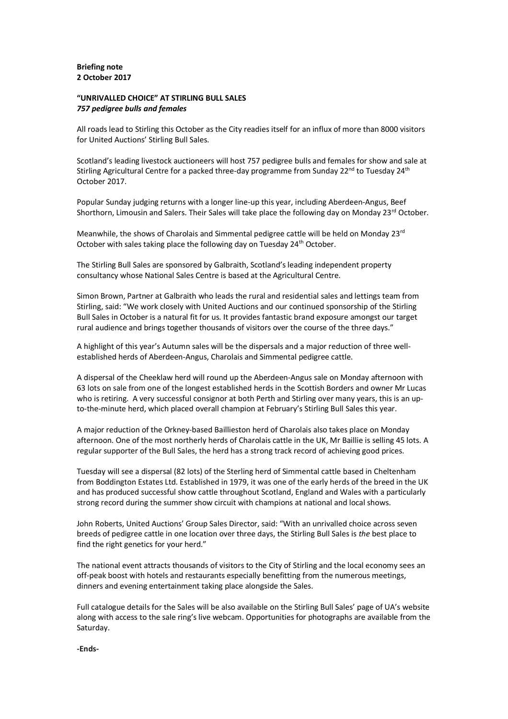#### **Briefing note 2 October 2017**

# **"UNRIVALLED CHOICE" AT STIRLING BULL SALES** *757 pedigree bulls and females*

All roads lead to Stirling this October as the City readies itself for an influx of more than 8000 visitors for United Auctions' Stirling Bull Sales.

Scotland's leading livestock auctioneers will host 757 pedigree bulls and females for show and sale at Stirling Agricultural Centre for a packed three-day programme from Sunday  $22^{nd}$  to Tuesday  $24^{th}$ October 2017.

Popular Sunday judging returns with a longer line-up this year, including Aberdeen-Angus, Beef Shorthorn, Limousin and Salers. Their Sales will take place the following day on Monday  $23^{rd}$  October.

Meanwhile, the shows of Charolais and Simmental pedigree cattle will be held on Monday 23<sup>rd</sup> October with sales taking place the following day on Tuesday 24<sup>th</sup> October.

The Stirling Bull Sales are sponsored by Galbraith, Scotland's leading independent property consultancy whose National Sales Centre is based at the Agricultural Centre.

Simon Brown, Partner at Galbraith who leads the rural and residential sales and lettings team from Stirling, said: "We work closely with United Auctions and our continued sponsorship of the Stirling Bull Sales in October is a natural fit for us. It provides fantastic brand exposure amongst our target rural audience and brings together thousands of visitors over the course of the three days."

A highlight of this year's Autumn sales will be the dispersals and a major reduction of three wellestablished herds of Aberdeen-Angus, Charolais and Simmental pedigree cattle.

A dispersal of the Cheeklaw herd will round up the Aberdeen-Angus sale on Monday afternoon with 63 lots on sale from one of the longest established herds in the Scottish Borders and owner Mr Lucas who is retiring. A very successful consignor at both Perth and Stirling over many years, this is an upto-the-minute herd, which placed overall champion at February's Stirling Bull Sales this year.

A major reduction of the Orkney-based Baillieston herd of Charolais also takes place on Monday afternoon. One of the most northerly herds of Charolais cattle in the UK, Mr Baillie is selling 45 lots. A regular supporter of the Bull Sales, the herd has a strong track record of achieving good prices.

Tuesday will see a dispersal (82 lots) of the Sterling herd of Simmental cattle based in Cheltenham from Boddington Estates Ltd. Established in 1979, it was one of the early herds of the breed in the UK and has produced successful show cattle throughout Scotland, England and Wales with a particularly strong record during the summer show circuit with champions at national and local shows.

John Roberts, United Auctions' Group Sales Director, said: "With an unrivalled choice across seven breeds of pedigree cattle in one location over three days, the Stirling Bull Sales is *the* best place to find the right genetics for your herd."

The national event attracts thousands of visitors to the City of Stirling and the local economy sees an off-peak boost with hotels and restaurants especially benefitting from the numerous meetings, dinners and evening entertainment taking place alongside the Sales.

Full catalogue details for the Sales will be also available on the Stirling Bull Sales' page of UA's website along with access to the sale ring's live webcam. Opportunities for photographs are available from the Saturday.

**-Ends-**